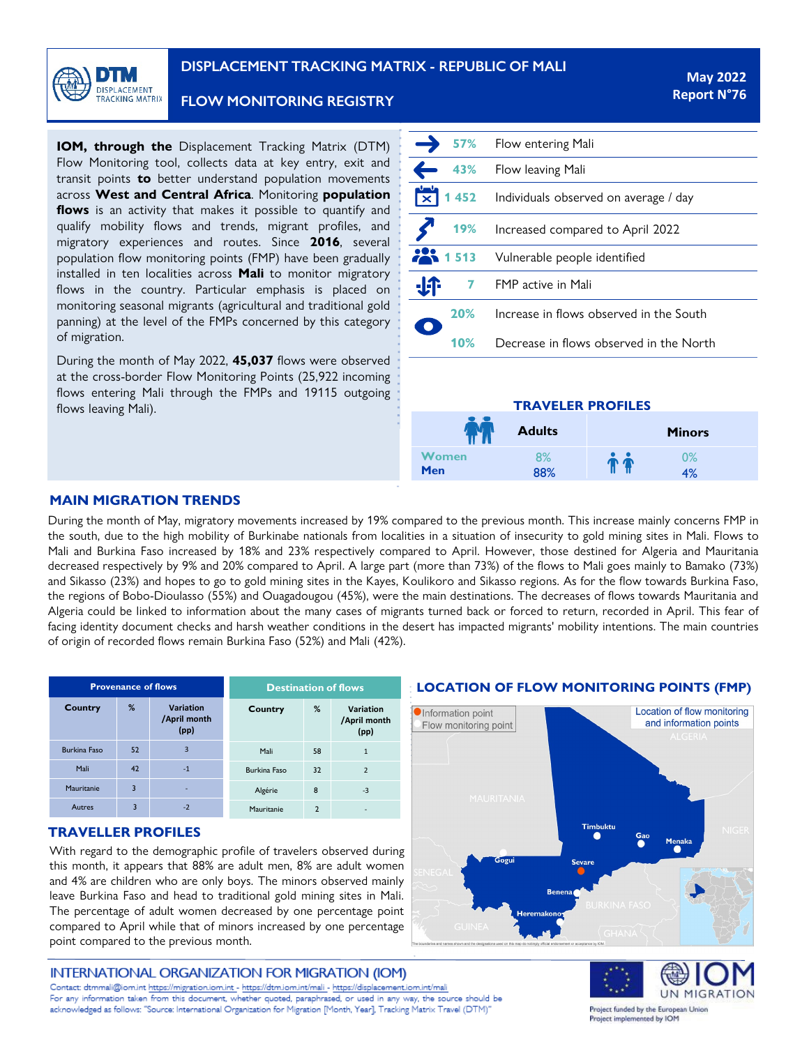

**FLOW MONITORING REGISTRY** 

**IOM, through the** Displacement Tracking Matrix (DTM) Flow Monitoring tool, collects data at key entry, exit and transit points **to** better understand population movements across **West and Central Africa**. Monitoring **population flows** is an activity that makes it possible to quantify and qualify mobility flows and trends, migrant profiles, and migratory experiences and routes. Since **2016**, several population flow monitoring points (FMP) have been gradually installed in ten localities across **Mali** to monitor migratory flows in the country. Particular emphasis is placed on monitoring seasonal migrants (agricultural and traditional gold panning) at the level of the FMPs concerned by this category of migration.

During the month of May 2022, **45,037** flows were observed at the cross-border Flow Monitoring Points (25,922 incoming flows entering Mali through the FMPs and 19115 outgoing flows leaving Mali).

| 57%     | Flow entering Mali                      |
|---------|-----------------------------------------|
| 43%     | Flow leaving Mali                       |
| 1 4 5 2 | Individuals observed on average / day   |
| 19%     | Increased compared to April 2022        |
| 22.1513 | Vulnerable people identified            |
| 7       | FMP active in Mali                      |
| 20%     | Increase in flows observed in the South |
| 10%     | Decrease in flows observed in the North |

## **TRAVELER PROFILES**

|       | <b>Adults</b> | <b>Minors</b> |
|-------|---------------|---------------|
| Women | 8%            | $0\%$         |
| Men   | 88%           | 4%            |

## **MAIN MIGRATION TRENDS**

During the month of May, migratory movements increased by 19% compared to the previous month. This increase mainly concerns FMP in the south, due to the high mobility of Burkinabe nationals from localities in a situation of insecurity to gold mining sites in Mali. Flows to Mali and Burkina Faso increased by 18% and 23% respectively compared to April. However, those destined for Algeria and Mauritania decreased respectively by 9% and 20% compared to April. A large part (more than 73%) of the flows to Mali goes mainly to Bamako (73%) and Sikasso (23%) and hopes to go to gold mining sites in the Kayes, Koulikoro and Sikasso regions. As for the flow towards Burkina Faso, the regions of Bobo-Dioulasso (55%) and Ouagadougou (45%), were the main destinations. The decreases of flows towards Mauritania and Algeria could be linked to information about the many cases of migrants turned back or forced to return, recorded in April. This fear of facing identity document checks and harsh weather conditions in the desert has impacted migrants' mobility intentions. The main countries of origin of recorded flows remain Burkina Faso (52%) and Mali (42%).

| <b>Provenance of flows</b> |    |                                          | <b>Destination of flows</b> |                |                                          |
|----------------------------|----|------------------------------------------|-----------------------------|----------------|------------------------------------------|
| <b>Country</b>             | %  | <b>Variation</b><br>/April month<br>(pp) | Country                     | %              | <b>Variation</b><br>/April month<br>(pp) |
| <b>Burkina Faso</b>        | 52 | 3                                        | Mali                        | 58             | $\overline{1}$                           |
| Mali                       | 42 | $-1$                                     | <b>Burkina Faso</b>         | 32             | $\overline{2}$                           |
| Mauritanie                 | 3  | ۰                                        | Algérie                     | 8              | $-3$                                     |
| Autres                     | 3  | $-2$                                     | Mauritanie                  | $\overline{2}$ | ٠                                        |

## **TRAVELLER PROFILES**

With regard to the demographic profile of travelers observed during this month, it appears that 88% are adult men, 8% are adult women and 4% are children who are only boys. The minors observed mainly leave Burkina Faso and head to traditional gold mining sites in Mali. The percentage of adult women decreased by one percentage point compared to April while that of minors increased by one percentage point compared to the previous month.

## INTERNATIONAL ORGANIZATION FOR MIGRATION (IOM)

Contact: dtmmali@iom.int https://migration.iom.int - <https://dtm.iom.int/mali> - https://displacement.iom.int/mali For any information taken from this document, whether quoted, paraphrased, or used in any way, the source should be la source doit aux de Suivi de Suivi de Suivi de Suivi de Suivi de Suivi de Suivi de Suivi de Suivi de Suivi d<br>Le pour les Migrations (DTM) de Suivi de Suivi de Suivi de Suivi de Suivi de Suivi de Suivi de Suivi de Suivi

### **LOCATION OF FLOW MONITORING POINTS (FMP)**





Project funded by the European Union Project implemented by IOM